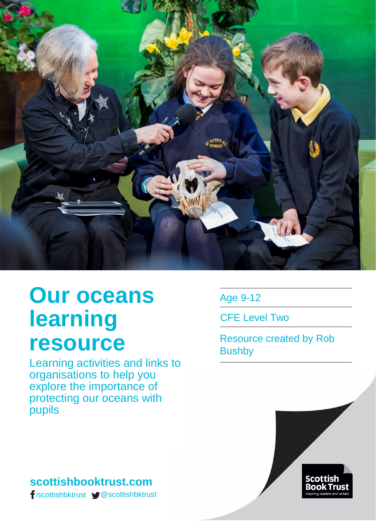

# **Our oceans learning resource**

Learning activities and links to organisations to help you explore the importance of protecting our oceans with **pupils** 

Age 9-12

CFE Level Two

Resource created by Rob **Bushby** 



### **scottishbooktrust.com**

/scottishbktrust @scottishbktrust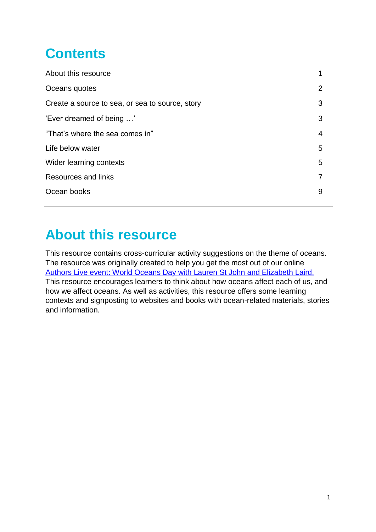# **Contents**

| About this resource                             | 1              |
|-------------------------------------------------|----------------|
| Oceans quotes                                   | 2              |
| Create a source to sea, or sea to source, story | 3              |
| 'Ever dreamed of being '                        | 3              |
| "That's where the sea comes in"                 | $\overline{4}$ |
| Life below water                                | 5              |
| Wider learning contexts                         | 5              |
| Resources and links                             |                |
| Ocean books                                     | 9              |
|                                                 |                |

## **About this resource**

This resource contains cross-curricular activity suggestions on the theme of oceans. The resource was originally created to help you get the most out of our online Authors Live event: [World Oceans Day with Lauren St John and Elizabeth Laird.](https://www.scottishbooktrust.com/authors-live-on-demand/world-oceans-day-with-lauren-st-john-and-elizabeth-laird) This resource encourages learners to think about how oceans affect each of us, and how we affect oceans. As well as activities, this resource offers some learning contexts and signposting to websites and books with ocean-related materials, stories and information.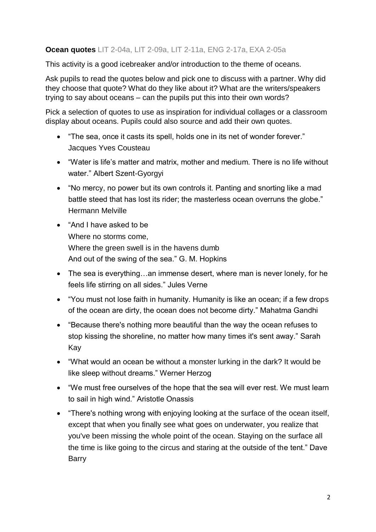#### **Ocean quotes** LIT 2-04a, LIT 2-09a, LIT 2-11a, ENG 2-17a, EXA 2-05a

This activity is a good icebreaker and/or introduction to the theme of oceans.

Ask pupils to read the quotes below and pick one to discuss with a partner. Why did they choose that quote? What do they like about it? What are the writers/speakers trying to say about oceans – can the pupils put this into their own words?

Pick a selection of quotes to use as inspiration for individual collages or a classroom display about oceans. Pupils could also source and add their own quotes.

- "The sea, once it casts its spell, holds one in its net of wonder forever." Jacques Yves Cousteau
- "Water is life's matter and matrix, mother and medium. There is no life without water." Albert Szent-Gyorgyi
- "No mercy, no power but its own controls it. Panting and snorting like a mad battle steed that has lost its rider; the masterless ocean overruns the globe." Hermann Melville
- "And I have asked to be Where no storms come, Where the green swell is in the havens dumb And out of the swing of the sea." G. M. Hopkins
- The sea is everything...an immense desert, where man is never lonely, for he feels life stirring on all sides." Jules Verne
- "You must not lose faith in humanity. Humanity is like an ocean; if a few drops of the ocean are dirty, the ocean does not become dirty." Mahatma Gandhi
- "Because there's nothing more beautiful than the way the ocean refuses to stop kissing the shoreline, no matter how many times it's sent away." Sarah Kay
- "What would an ocean be without a monster lurking in the dark? It would be like sleep without dreams." Werner Herzog
- "We must free ourselves of the hope that the sea will ever rest. We must learn to sail in high wind." Aristotle Onassis
- "There's nothing wrong with enjoying looking at the surface of the ocean itself, except that when you finally see what goes on underwater, you realize that you've been missing the whole point of the ocean. Staying on the surface all the time is like going to the circus and staring at the outside of the tent." Dave Barry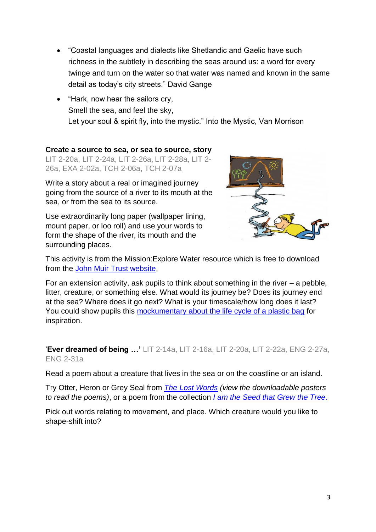- "Coastal languages and dialects like Shetlandic and Gaelic have such richness in the subtlety in describing the seas around us: a word for every twinge and turn on the water so that water was named and known in the same detail as today's city streets." David Gange
- "Hark, now hear the sailors cry, Smell the sea, and feel the sky, Let your soul & spirit fly, into the mystic." Into the Mystic, Van Morrison

#### **Create a source to sea, or sea to source, story**

LIT 2-20a, LIT 2-24a, LIT 2-26a, LIT 2-28a, LIT 2- 26a, EXA 2-02a, TCH 2-06a, TCH 2-07a

Write a story about a real or imagined journey going from the source of a river to its mouth at the sea, or from the sea to its source.

Use extraordinarily long paper (wallpaper lining, mount paper, or loo roll) and use your words to form the shape of the river, its mouth and the surrounding places.



This activity is from the Mission:Explore Water resource which is free to download from the [John Muir Trust website.](https://www.johnmuirtrust.org/initiatives/mission-explore-water)

For an extension activity, ask pupils to think about something in the river – a pebble, litter, creature, or something else. What would its journey be? Does its journey end at the sea? Where does it go next? What is your timescale/how long does it last? You could show pupils this [mockumentary about the life cycle of a plastic bag](https://www.youtube.com/watch?v=GLgh9h2ePYw) for inspiration.

#### '**Ever dreamed of being …'** LIT 2-14a, LIT 2-16a, LIT 2-20a, LIT 2-22a, ENG 2-27a, ENG 2-31a

Read a poem about a creature that lives in the sea or on the coastline or an island.

Try Otter, Heron or Grey Seal from *[The Lost Words](https://www.johnmuirtrust.org/initiatives/the-lost-words) (view the downloadable posters to read the poems)*, or a poem from the collection *[I am the Seed that Grew the Tree](https://nosycrow.com/product/national-trust-i-am-the-seed-that-grew-the-tree-a-poem-for-every-day-of-the-year/)*.

Pick out words relating to movement, and place. Which creature would you like to shape-shift into?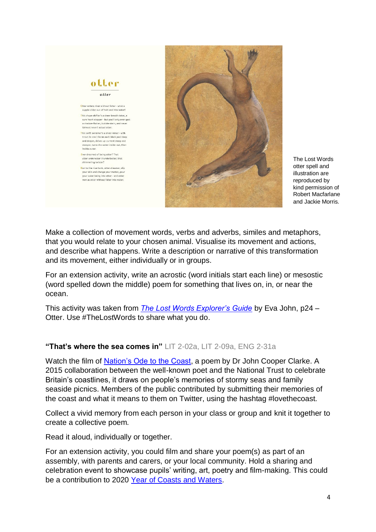

The Lost Words otter spell and illustration are reproduced by kind permission of Robert Macfarlane and Jackie Morris.

Make a collection of movement words, verbs and adverbs, similes and metaphors, that you would relate to your chosen animal. Visualise its movement and actions, and describe what happens. Write a description or narrative of this transformation and its movement, either individually or in groups.

For an extension activity, write an acrostic (word initials start each line) or mesostic (word spelled down the middle) poem for something that lives on, in, or near the ocean.

This activity was taken from *[The Lost Words Explorer's Guide](https://www.johnmuirtrust.org/assets/000/002/830/LOST_WORDS_Explorers-Guide_pages_original.pdf)* by Eva John, p24 – Otter. Use #TheLostWords to share what you do.

#### **"That's where the sea comes in"** LIT 2-02a, LIT 2-09a, ENG 2-31a

Watch the film of [Nation's Ode to the Coast,](https://www.youtube.com/watch?v=J9p4pVUsFrs) a poem by Dr John Cooper Clarke. A 2015 collaboration between the well-known poet and the National Trust to celebrate Britain's coastlines, it draws on people's memories of stormy seas and family seaside picnics. Members of the public contributed by submitting their memories of the coast and what it means to them on Twitter, using the hashtag #lovethecoast.

Collect a vivid memory from each person in your class or group and knit it together to create a collective poem.

Read it aloud, individually or together.

otter otter Otter enters river without falter - what a upple slider out of holt and into wate This shape-shifter's a sheer breath-taker, a sure heart-stopper - but you'll only ever spot a shadow-flutter, bubble-skein, and never (almost never) actual otter. This swift swimmer's a silver-miner - with trout its ore it bores each black pool deep and deeper, delves up-current steep and steener, turns the water inside-out, then

inside-outer. Ever dreamed of being otter? The utter underwater thunderbolter, that shimmering twister? Run to the riverhank otter-dreamer slin r skin and change your matter, your outer being into otter - and ente now as otter without falter into water.

For an extension activity, you could film and share your poem(s) as part of an assembly, with parents and carers, or your local community. Hold a sharing and celebration event to showcase pupils' writing, art, poetry and film-making. This could be a contribution to 2020 [Year of Coasts and Waters.](https://www.visitscotland.com/about/themed-years/coasts-waters/)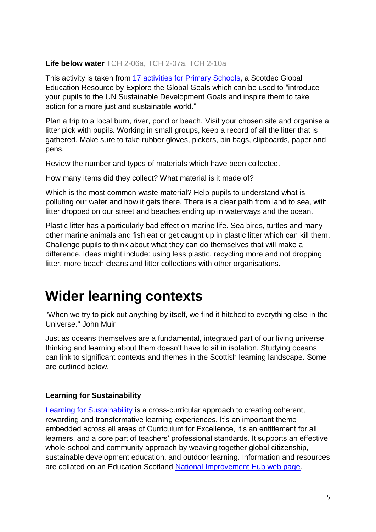#### **Life below water** TCH 2-06a, TCH 2-07a, TCH 2-10a

This activity is taken from [17 activities for Primary Schools,](http://www.scotdec.org.uk/resources) a Scotdec Global Education Resource by Explore the Global Goals which can be used to "introduce your pupils to the UN Sustainable Development Goals and inspire them to take action for a more just and sustainable world."

Plan a trip to a local burn, river, pond or beach. Visit your chosen site and organise a litter pick with pupils. Working in small groups, keep a record of all the litter that is gathered. Make sure to take rubber gloves, pickers, bin bags, clipboards, paper and pens.

Review the number and types of materials which have been collected.

How many items did they collect? What material is it made of?

Which is the most common waste material? Help pupils to understand what is polluting our water and how it gets there. There is a clear path from land to sea, with litter dropped on our street and beaches ending up in waterways and the ocean.

Plastic litter has a particularly bad effect on marine life. Sea birds, turtles and many other marine animals and fish eat or get caught up in plastic litter which can kill them. Challenge pupils to think about what they can do themselves that will make a difference. Ideas might include: using less plastic, recycling more and not dropping litter, more beach cleans and litter collections with other organisations.

# **Wider learning contexts**

"When we try to pick out anything by itself, we find it hitched to everything else in the Universe." John Muir

Just as oceans themselves are a fundamental, integrated part of our living universe, thinking and learning about them doesn't have to sit in isolation. Studying oceans can link to significant contexts and themes in the Scottish learning landscape. Some are outlined below.

#### **Learning for Sustainability**

[Learning for Sustainability](https://education.gov.scot/scottish-education-system/policy-for-scottish-education/policy-drivers/learning-for-sustainability) is a cross-curricular approach to creating coherent, rewarding and transformative learning experiences. It's an important theme embedded across all areas of Curriculum for Excellence, it's an entitlement for all learners, and a core part of teachers' professional standards. It supports an effective whole-school and community approach by weaving together global citizenship, sustainable development education, and outdoor learning. Information and resources are collated on an Education Scotland [National Improvement Hub web page.](https://education.gov.scot/improvement/learning-resources/A%20summary%20of%20learning%20for%20sustainability%20resources)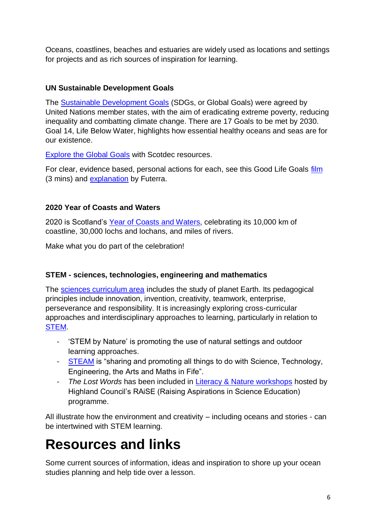Oceans, coastlines, beaches and estuaries are widely used as locations and settings for projects and as rich sources of inspiration for learning.

#### **UN Sustainable Development Goals**

The [Sustainable Development Goals](https://www.globalgoals.org/) (SDGs, or Global Goals) were agreed by United Nations member states, with the aim of eradicating extreme poverty, reducing inequality and combatting climate change. There are 17 Goals to be met by 2030. Goal 14, Life Below Water, highlights how essential healthy oceans and seas are for our existence.

[Explore the Global Goals](http://www.scotdec.org.uk/resources/explore-global-goals) with Scotdec resources.

For clear, evidence based, personal actions for each, see this Good Life Goals [film](https://www.youtube.com/watch?v=bbrYODvkvGk) (3 mins) and [explanation](https://www.wearefuterra.com/2018/07/why-we-need-new-good-life-goals/) by Futerra.

#### **2020 Year of Coasts and Waters**

2020 is Scotland's [Year of Coasts and Waters,](https://www.visitscotland.com/about/themed-years/coasts-waters/) celebrating its 10,000 km of coastline, 30,000 lochs and lochans, and miles of rivers.

Make what you do part of the celebration!

#### **STEM - sciences, technologies, engineering and mathematics**

The [sciences curriculum area](https://education.gov.scot/scottish-education-system/policy-for-scottish-education/policy-drivers/cfe-(building-from-the-statement-appendix-incl-btc1-5)/curriculum-areas/Sciences) includes the study of planet Earth. Its pedagogical principles include innovation, invention, creativity, teamwork, enterprise, perseverance and responsibility. It is increasingly exploring cross-curricular approaches and interdisciplinary approaches to learning, particularly in relation to [STEM.](https://education.gov.scot/improvement/learning-resources/STEM%20Central)

- 'STEM by Nature' is promoting the use of natural settings and outdoor learning approaches.
- **[STEAM](https://twitter.com/STEAMFife)** is "sharing and promoting all things to do with Science, Technology, Engineering, the Arts and Maths in Fife".
- *The Lost Words* has been included in [Literacy & Nature workshops](https://www.johnmuirtrust.org/latest/news/1666-field-notes-drumming-up-an-appetite-for-nature) hosted by Highland Council's RAiSE (Raising Aspirations in Science Education) programme.

All illustrate how the environment and creativity – including oceans and stories - can be intertwined with STEM learning.

# **Resources and links**

Some current sources of information, ideas and inspiration to shore up your ocean studies planning and help tide over a lesson.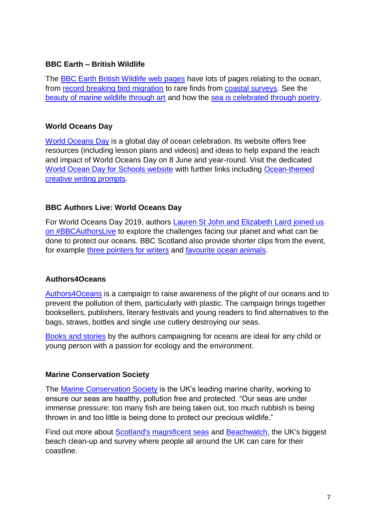#### **BBC Earth – British Wildlife**

The **BBC Earth British Wildlife web pages** have lots of pages relating to the ocean, from [record breaking bird migration](http://www.bbc.co.uk/earth/story/20160603-mystery-migration-solved) to rare finds from [coastal surveys.](http://www.bbc.co.uk/earth/story/20160310-coastal-surveys-reveal-full-spectrum-of-life-at-the-edge) See the [beauty of marine wildlife through art](http://www.bbc.co.uk/earth/story/20151204-the-beauty-of-marine-wildlife-through-art) and how the [sea is celebrated through poetry.](http://www.bbc.co.uk/earth/story/20151008-poem-inspired-by-publics-memories-of-the-coast)

#### **World Oceans Day**

[World Oceans Day](https://www.worldoceansday.org/) is a global day of ocean celebration. Its website offers free resources (including lesson plans and videos) and ideas to help expand the reach and impact of World Oceans Day on 8 June and year-round. Visit the dedicated [World Ocean Day for Schools website](https://worldoceanday.school/) with further links including [Ocean-themed](https://www.homeschoolantics.com/creative-writing-prompts-ocean-themed/)  [creative writing prompts.](https://www.homeschoolantics.com/creative-writing-prompts-ocean-themed/)

#### **BBC Authors Live: World Oceans Day**

For World Oceans Day 2019, authors [Lauren St John and Elizabeth Laird](https://www.scottishbooktrust.com/authors-live-on-demand/world-oceans-day-with-lauren-st-john-and-elizabeth-laird) joined us on [#BBCAuthorsLive](https://www.scottishbooktrust.com/authors-live-on-demand/world-oceans-day-with-lauren-st-john-and-elizabeth-laird) to explore the challenges facing our planet and what can be done to protect our oceans. BBC Scotland also provide shorter clips from the event, for example [three pointers for writers](https://www.bbc.co.uk/events/e984mb/play/ahqmn3/p07cf7rt) and [favourite ocean animals.](https://www.bbc.co.uk/events/e984mb/play/ahqmn3/p07cf7w3)

#### **Authors4Oceans**

[Authors4Oceans](https://www.authors4oceans.org/) is a campaign to raise awareness of the plight of our oceans and to prevent the pollution of them, particularly with plastic. The campaign brings together booksellers, publishers, literary festivals and young readers to find alternatives to the bags, straws, bottles and single use cutlery destroying our seas.

[Books and stories](https://www.authors4oceans.org/our-books-1) by the authors campaigning for oceans are ideal for any child or young person with a passion for ecology and the environment.

#### **Marine Conservation Society**

The [Marine Conservation Society](https://www.mcsuk.org/) is the UK's leading marine charity, working to ensure our seas are healthy, pollution free and protected. "Our seas are under immense pressure: too many fish are being taken out, too much rubbish is being thrown in and too little is being done to protect our precious wildlife."

Find out more about [Scotland's magnificent seas](https://www.mcsuk.org/scotland/scotland) and [Beachwatch,](https://www.mcsuk.org/beachwatch/) the UK's biggest beach clean-up and survey where people all around the UK can care for their coastline.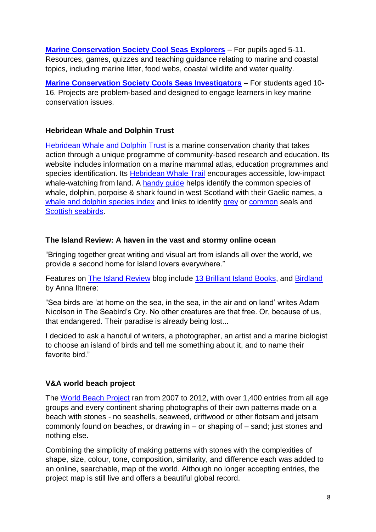**[Marine Conservation Society Cool Seas Explorers](http://www.mcsuk.org/coolseas)** – For pupils aged 5-11. Resources, games, quizzes and teaching guidance relating to marine and coastal topics, including marine litter, food webs, coastal wildlife and water quality.

**[Marine Conservation Society Cools Seas Investigators](http://www.mcsuk.org/coolseas/coolseas_investigators.php)** – For students aged 10- 16. Projects are problem-based and designed to engage learners in key marine conservation issues.

#### **Hebridean Whale and Dolphin Trust**

[Hebridean Whale and Dolphin Trust](https://hwdt.org/) is a marine conservation charity that takes action through a unique programme of community-based research and education. Its website includes information on a marine mammal atlas, education programmes and species identification. Its [Hebridean Whale Trail](https://whaletrail.org/) encourages accessible, low-impact whale-watching from land. A handy quide helps identify the common species of whale, dolphin, porpoise & shark found in west Scotland with their Gaelic names, a [whale and dolphin species index](https://hwdt.org/species-index) and links to identify [grey](https://scottishwildlifetrust.org.uk/species/grey-seal/) or [common](https://scottishwildlifetrust.org.uk/species/common-seal/) seals and [Scottish seabirds.](https://seabird.org/wildlife/seabirds/12/26)

#### **The Island Review: A haven in the vast and stormy online ocean**

"Bringing together great writing and visual art from islands all over the world, we provide a second home for island lovers everywhere."

Features on **The Island Review blog include 13 Brilliant Island Books**, and **Birdland** by Anna Iltnere:

"Sea birds are 'at home on the sea, in the sea, in the air and on land' writes Adam Nicolson in The Seabird's Cry. No other creatures are that free. Or, because of us, that endangered. Their paradise is already being lost...

I decided to ask a handful of writers, a photographer, an artist and a marine biologist to choose an island of birds and tell me something about it, and to name their favorite bird."

#### **V&A world beach project**

The [World Beach Project](http://www.vam.ac.uk/content/articles/w/world-beach-project) ran from 2007 to 2012, with over 1,400 entries from all age groups and every continent sharing photographs of their own patterns made on a beach with stones - no seashells, seaweed, driftwood or other flotsam and jetsam commonly found on beaches, or drawing in – or shaping of – sand; just stones and nothing else.

Combining the simplicity of making patterns with stones with the complexities of shape, size, colour, tone, composition, similarity, and difference each was added to an online, searchable, map of the world. Although no longer accepting entries, the project map is still live and offers a beautiful global record.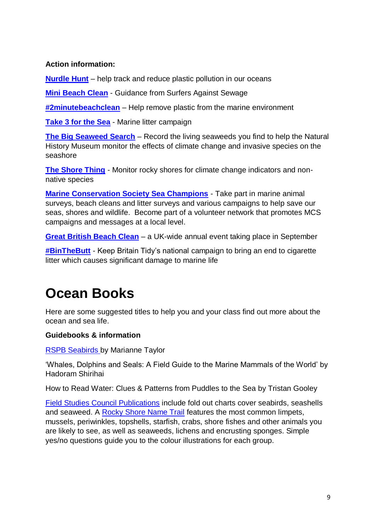#### **Action information:**

**[Nurdle Hunt](http://www.nurdlehunt.org.uk/)** – help track and reduce plastic pollution in our oceans

**[Mini Beach](http://www.sas.org.uk/news/beach-cleans/minibeachclean) Clean** - Guidance from Surfers Against Sewage

**[#2minutebeachclean](https://beachclean.net/)** – Help remove plastic from the marine environment

**[Take 3 for the Sea](https://www.take3.org/)** - Marine litter campaign

**[The Big Seaweed Search](http://www.nhm.ac.uk/take-part/citizen-science/big-seaweed-search.html)** – Record the living seaweeds you find to help the Natural History Museum monitor the effects of climate change and invasive species on the seashore

**[The Shore Thing](http://www.mba.ac.uk/shore_thing)** - Monitor rocky shores for climate change indicators and nonnative species

**[Marine Conservation Society Sea Champions](http://www.mcsuk.org/seachampions)** - Take part in marine animal surveys, beach cleans and litter surveys and various campaigns to help save our seas, shores and wildlife. Become part of a volunteer network that promotes MCS campaigns and messages at a local level.

**[Great British Beach Clean](http://www.mcsuk.org/beachwatch/greatbritishbeachclean)** – a UK-wide annual event taking place in September

**[#BinTheButt](http://www.keepbritaintidy.org/news/its-flicking-blue-murder)** - Keep Britain Tidy's national campaign to bring an end to cigarette litter which causes significant damage to marine life

### **Ocean Books**

Here are some suggested titles to help you and your class find out more about the ocean and sea life.

#### **Guidebooks & information**

[RSPB Seabirds](https://shopping.rspb.org.uk/bird-books/rspb-seabirds.html?ClickType=Image&ListType=&ListName=&Position=47) by Marianne Taylor

'Whales, Dolphins and Seals: A Field Guide to the Marine Mammals of the World' by Hadoram Shirihai

How to Read Water: Clues & Patterns from Puddles to the Sea by Tristan Gooley

[Field Studies Council Publications](https://www.field-studies-council.org/publications/fold-out-charts.aspx) include fold out charts cover seabirds, seashells and seaweed. A [Rocky Shore Name Trail](https://www.field-studies-council.org/publications/pubs/rocky-shore-name-trail-(fully-encapsulated).aspx) features the most common limpets, mussels, periwinkles, topshells, starfish, crabs, shore fishes and other animals you are likely to see, as well as seaweeds, lichens and encrusting sponges. Simple yes/no questions guide you to the colour illustrations for each group.